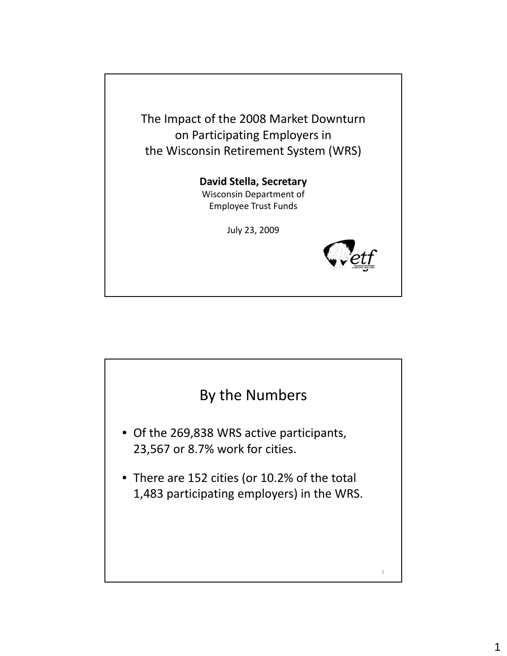The Impact of the 2008 Market Downturn on Participating Employers in the Wisconsin Retirement System (WRS)

#### **David Stella, Secretary** Wisconsin Department of Employee Trust Funds

July 23, 2009



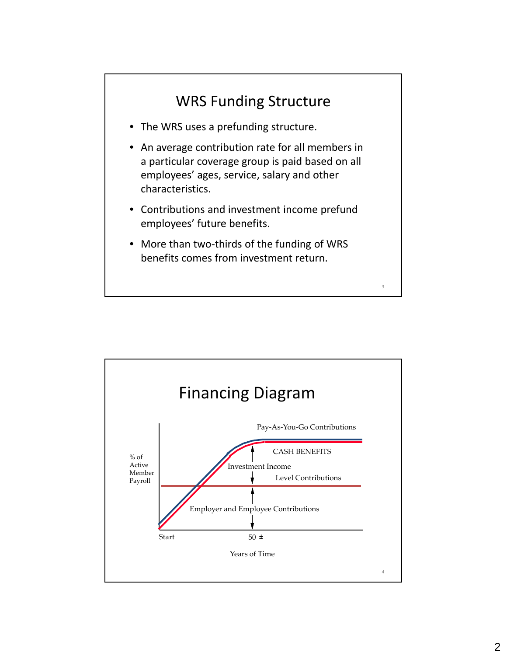

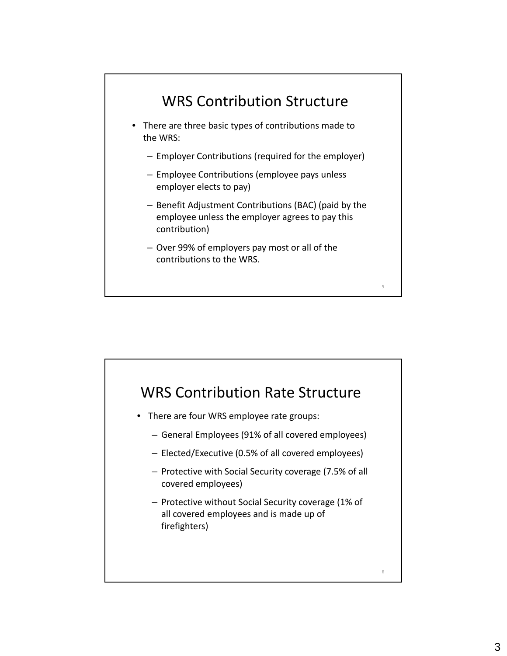

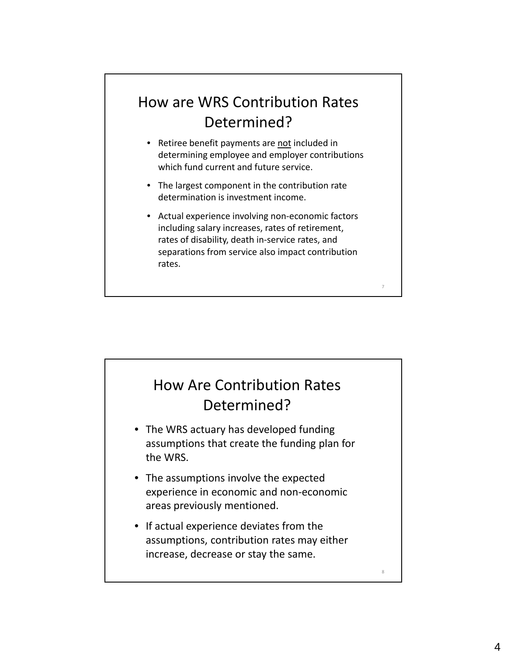## How are WRS Contribution Rates Determined?

- Retiree benefit payments are not included in determining employee and employer contributions which fund current and future service.
- The largest component in the contribution rate determination is investment income.
- Actual experience involving non‐economic factors including salary increases, rates of retirement, rates of disability, death in‐service rates, and separations from service also impact contribution rates.

7

8

### How Are Contribution Rates Determined?

- The WRS actuary has developed funding assumptions that create the funding plan for the WRS.
- The assumptions involve the expected experience in economic and non‐economic areas previously mentioned.
- If actual experience deviates from the assumptions, contribution rates may either increase, decrease or stay the same.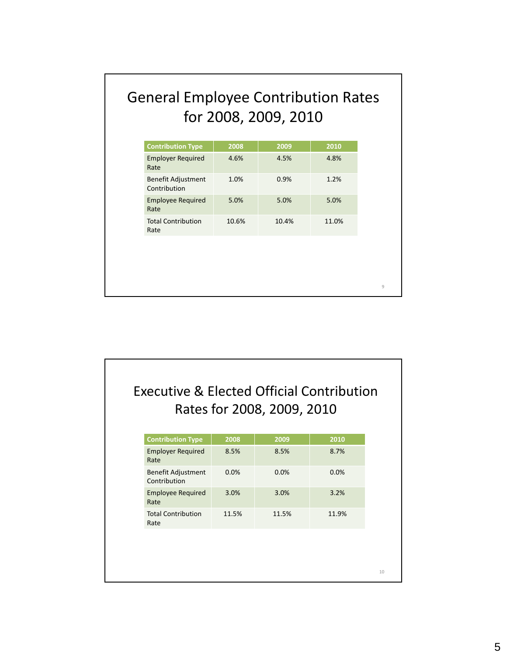# General Employee Contribution Rates for 2008, 2009, 2010

| <b>Employer Required</b><br>4.6%<br>4.8%<br>4.5%<br>0.9%<br>1.2%<br>1.0%<br>5.0%<br>5.0%<br>5.0%<br>10.6%<br>10.4%<br>11.0% |                                           |      |      |      |  |
|-----------------------------------------------------------------------------------------------------------------------------|-------------------------------------------|------|------|------|--|
|                                                                                                                             | <b>Contribution Type</b>                  | 2008 | 2009 | 2010 |  |
|                                                                                                                             | Rate                                      |      |      |      |  |
|                                                                                                                             | <b>Benefit Adjustment</b><br>Contribution |      |      |      |  |
|                                                                                                                             | <b>Employee Required</b><br>Rate          |      |      |      |  |
|                                                                                                                             | <b>Total Contribution</b><br>Rate         |      |      |      |  |
|                                                                                                                             |                                           |      |      |      |  |
|                                                                                                                             |                                           |      |      |      |  |
|                                                                                                                             |                                           |      |      |      |  |
|                                                                                                                             |                                           |      |      |      |  |
|                                                                                                                             |                                           |      |      |      |  |
|                                                                                                                             |                                           |      |      |      |  |
|                                                                                                                             |                                           |      |      |      |  |
|                                                                                                                             |                                           |      |      |      |  |
|                                                                                                                             |                                           |      |      |      |  |
|                                                                                                                             |                                           |      |      |      |  |
|                                                                                                                             |                                           |      |      |      |  |
|                                                                                                                             |                                           |      |      |      |  |
|                                                                                                                             |                                           |      |      |      |  |
|                                                                                                                             |                                           |      |      |      |  |
|                                                                                                                             |                                           |      |      |      |  |
|                                                                                                                             |                                           |      |      |      |  |
|                                                                                                                             |                                           |      |      |      |  |
| <b>Executive &amp; Elected Official Contribution</b>                                                                        |                                           |      |      |      |  |

|                                    |       | <b>Executive &amp; Elected Official Contribution</b><br>Rates for 2008, 2009, 2010 |       |
|------------------------------------|-------|------------------------------------------------------------------------------------|-------|
| <b>Contribution Type</b>           | 2008  | 2009                                                                               | 2010  |
| <b>Employer Required</b><br>Rate   | 8.5%  | 8.5%                                                                               | 8.7%  |
| Benefit Adjustment<br>Contribution | 0.0%  | 0.0%                                                                               | 0.0%  |
| <b>Employee Required</b><br>Rate   | 3.0%  | 3.0%                                                                               | 3.2%  |
| <b>Total Contribution</b><br>Rate  | 11.5% | 11.5%                                                                              | 11.9% |
|                                    |       |                                                                                    |       |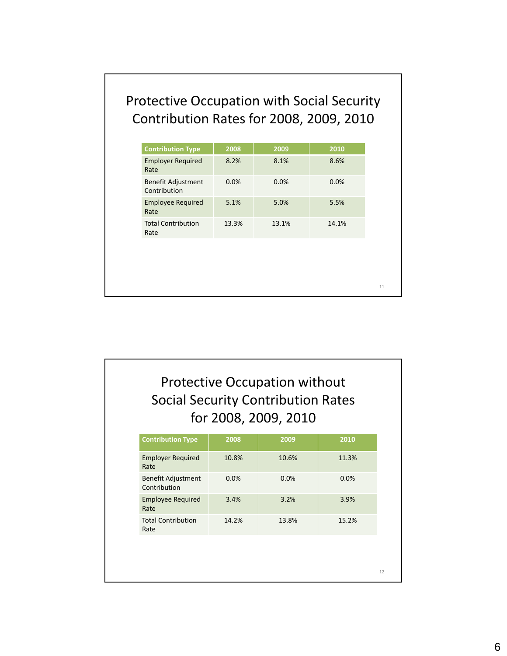#### Protective Occupation with Social Security Contribution Rates for 2008, 2009, 2010

| <b>Contribution Type</b>                  |       |                                      |       |
|-------------------------------------------|-------|--------------------------------------|-------|
|                                           | 2008  | 2009                                 | 2010  |
| <b>Employer Required</b><br>Rate          | 8.2%  | 8.1%                                 | 8.6%  |
| <b>Benefit Adjustment</b><br>Contribution | 0.0%  | 0.0%                                 | 0.0%  |
| <b>Employee Required</b><br>Rate          | 5.1%  | 5.0%                                 | 5.5%  |
| <b>Total Contribution</b><br>Rate         | 13.3% | 13.1%                                | 14.1% |
|                                           |       |                                      |       |
|                                           |       |                                      |       |
|                                           |       |                                      |       |
|                                           |       |                                      |       |
|                                           |       |                                      |       |
|                                           |       |                                      |       |
|                                           |       |                                      |       |
|                                           |       |                                      |       |
|                                           |       |                                      |       |
|                                           |       |                                      |       |
|                                           |       | <b>Protective Occupation without</b> |       |

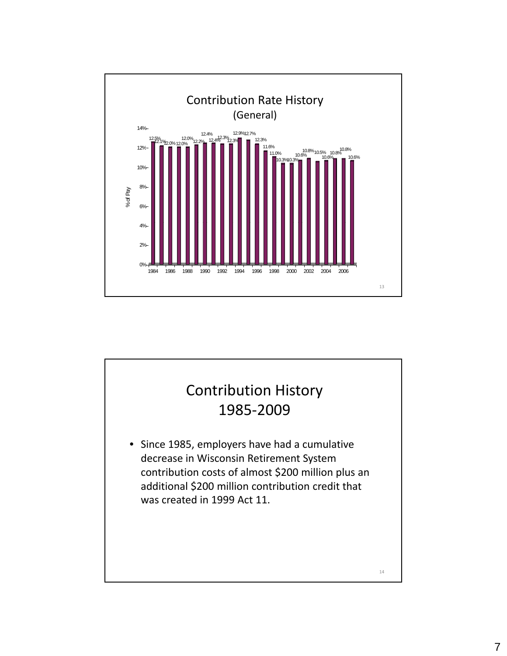

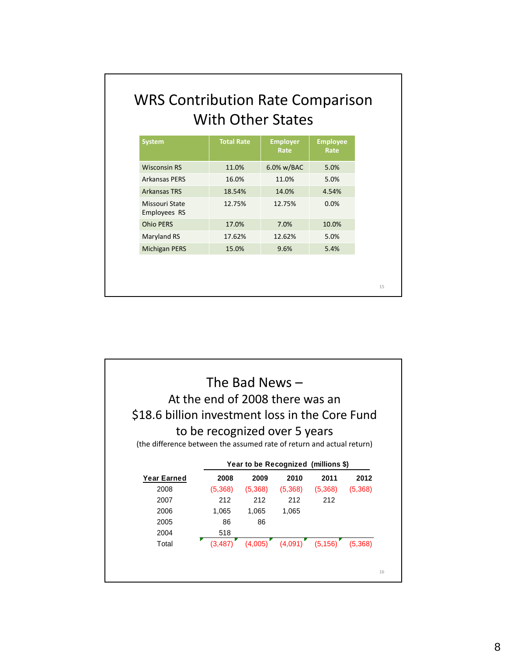| <b>System</b>                  | <b>Total Rate</b> | <b>Employer</b><br>Rate | <b>Employee</b><br>Rate |
|--------------------------------|-------------------|-------------------------|-------------------------|
| <b>Wisconsin RS</b>            | 11.0%             | 6.0% w/BAC              | 5.0%                    |
| <b>Arkansas PERS</b>           | 16.0%             | 11.0%                   | 5.0%                    |
| <b>Arkansas TRS</b>            | 18.54%            | 14.0%                   | 4.54%                   |
| Missouri State<br>Employees RS | 12.75%            | 12.75%                  | 0.0%                    |
| <b>Ohio PERS</b>               | 17.0%             | 7.0%                    | 10.0%                   |
| Maryland RS                    | 17.62%            | 12.62%                  | 5.0%                    |
| <b>Michigan PERS</b>           | 15.0%             | 9.6%                    | 5.4%                    |